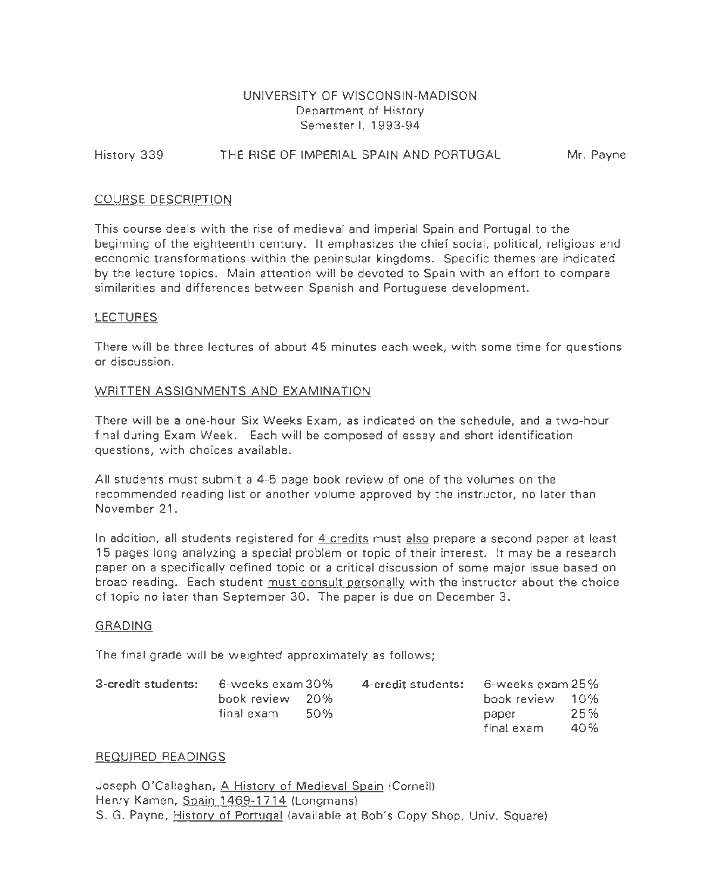# UNIVERSITY OF WISCONSIN-MADISON Department of History Semester I, 1993-94

# History 339 THE RISE OF IMPERIAL SPAIN AND PORTUGAL Mr. Payne

## COURSE DESCRIPTION

This course deals with the rise of medieval and imperial Spain and Portugal to the beginning of the eighteenth century. It emphasizes the chief social, political, religious and economic transformations within the peninsular kingdoms. Specific themes are indicated by the lecture topics. Main attention will be devoted to Spain with an effort to compare similarities and differences between Spanish and Portuguese development.

### LECTURES

There will be three lectures of about 45 minutes each week, with some time for questions or discussion.

### WRITTEN ASSIGNMENTS AND EXAMINATION

There will be a one-hour Six Weeks Exam, as indicated on the schedule, and a two-hour final during Exam Week. Each will be composed of essay and short identification questions, with choices available.

All students must submit a 4-5 page book review of one of the volumes on the recommended reading list or another volume approved by the instructor, no later than November 21.

In addition, all students registered for 4 credits must also prepare a second paper at least 1 5 pages long analyzing a special problem or topic of their interest. It may be a research paper on a specifically defined topic or a critical discussion of some major issue based on broad reading. Each student must consult personally with the instructor about the choice of topic no later than September 30. The paper is due on December 3.

#### GRADING

The final grade will be weighted approximately as follows;

| 3-credit students: 6-weeks exam 30% |                 |       | 4-credit students: | $-$ 6-weeks exam 25 $\%$ |     |
|-------------------------------------|-----------------|-------|--------------------|--------------------------|-----|
|                                     | book review 20% |       |                    | book review 10%          |     |
|                                     | final exam      | - 50% |                    | paper                    | 25% |
|                                     |                 |       |                    | final exam               | 40% |

#### REQUIRED READINGS

Joseph O'Callaghan, A History of Medieval Spain (Cornell) Henry Kamen, Spain 1469-1714 (Longmans) S. G. Payne, History of Portugal (available at Bob's Copy Shop, Univ. Square)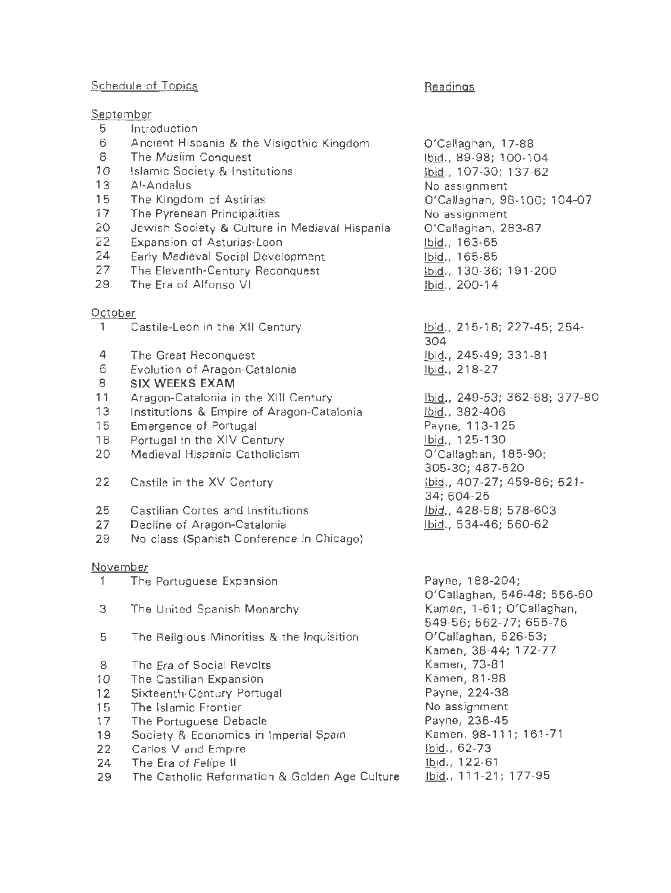# Schedule of Topics

September

# Readings

| 5       | Introduction                                  |                                   |
|---------|-----------------------------------------------|-----------------------------------|
| 6       | Ancient Hispania & the Visigothic Kingdom     | O'Callaghan, 17-88                |
| 8       | The Muslim Conquest                           | lbid., 89-98; 100-104             |
| 10      | Islamic Society & Institutions                | Ibid., 107-30; 137-62             |
| 13      | Al-Andalus                                    | No assignment                     |
| 15      | The Kingdom of Astirias                       | O'Callaghan, 98-100; 104-07       |
| 17      |                                               | No assignment                     |
|         | The Pyrenean Principalities                   |                                   |
| 20      | Jewish Society & Culture in Medieval Hispania | O'Callaghan, 283-87               |
| 22      | Expansion of Asturias-Leon                    | Ibid., 163-65                     |
| 24      | Early Medieval Social Development             | Ibid., 165-85                     |
| 27      | The Eleventh-Century Reconquest               | bid., 130-36; 191-200             |
| 29      | The Era of Alfonso VI                         | Ibid., 200-14                     |
| October |                                               |                                   |
| 1       | Castile-Leon in the XII Century               | bid., 215-18; 227-45; 254-<br>304 |
| 4       | The Great Reconquest                          | Ibid., 245-49; 331-81             |
| 6       | Evolution of Aragon-Catalonia                 | Ibid., 218-27                     |
| 8       | <b>SIX WEEKS EXAM</b>                         |                                   |
| 11      | Aragon-Catalonia in the XIII Century          | Ibid., 249-53; 362-68; 377-80     |
| 13      | Institutions & Empire of Aragon-Catalonia     | Ibid., 382-406                    |
|         |                                               |                                   |
| 15      | Emergence of Portugal                         | Payne, 113-125                    |
| 18      | Portugal in the XIV Century                   | Ibid., 125-130                    |
| 20      | Medieval Hispanic Catholicism                 | O'Callaghan, 185-90;              |
|         |                                               | 305-30; 487-520                   |
| 22      | Castile in the XV Century                     | lbid., 407-27; 459-86; 521-       |
|         |                                               | 34; 604-25                        |
| 25      | Castilian Cortes and Institutions             | lbid., 428-58; 578-603            |
| 27      | Decline of Aragon-Catalonia                   | lbid., 534-46; 560-62             |
| 29      | No class (Spanish Conference in Chicago)      |                                   |
|         | November                                      |                                   |
| 1       | The Portuguese Expansion                      | Payne, 188-204;                   |
|         |                                               | O'Callaghan, 546-48; 556-60       |
| З       | The United Spanish Monarchy                   | Kamen, 1-61; O'Callaghan,         |
|         |                                               | 549-56; 562-77; 655-76            |
| 5       | The Religious Minorities & the Inquisition    | O'Callaghan, 626-53;              |
|         |                                               | Kamen, 38-44; 172-77              |
| 8       | The Era of Social Revolts                     | Kamen, 73-81                      |
| 10      | The Castilian Expansion                       | Kamen, 81-98                      |
| 12      | Sixteenth-Century Portugal                    | Payne, 224-38                     |
| 15      | The Islamic Frontier                          | No assignment                     |
| 17      | The Portuguese Debacle                        | Payne, 238-45                     |
| 19      | Society & Economics in Imperial Spain         | Kamen, 98-111; 161-71             |
| 22      | Carlos V and Empire                           | Ibid., 62-73                      |
| 24      | The Era of Felipe II                          | Ibid., 122-61                     |
|         |                                               | lbid., 111-21; 177-95             |
| 29      | The Catholic Reformation & Golden Age Culture |                                   |